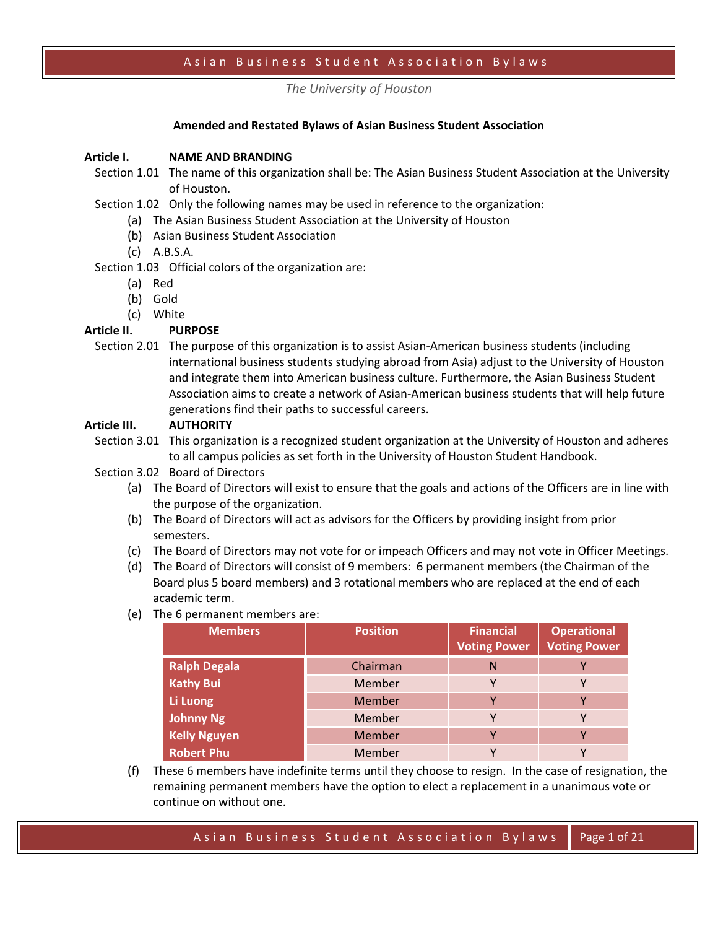*The University of Houston*

### **Amended and Restated Bylaws of Asian Business Student Association**

### **Article I. NAME AND BRANDING**

- Section 1.01 The name of this organization shall be: The Asian Business Student Association at the University of Houston.
- Section 1.02 Only the following names may be used in reference to the organization:
	- (a) The Asian Business Student Association at the University of Houston
	- (b) Asian Business Student Association
	- (c) A.B.S.A.
- Section 1.03 Official colors of the organization are:
	- (a) Red
	- (b) Gold
	- (c) White

### **Article II. PURPOSE**

Section 2.01 The purpose of this organization is to assist Asian-American business students (including international business students studying abroad from Asia) adjust to the University of Houston and integrate them into American business culture. Furthermore, the Asian Business Student Association aims to create a network of Asian-American business students that will help future generations find their paths to successful careers.

### **Article III. AUTHORITY**

- Section 3.01 This organization is a recognized student organization at the University of Houston and adheres to all campus policies as set forth in the University of Houston Student Handbook.
- Section 3.02 Board of Directors
	- (a) The Board of Directors will exist to ensure that the goals and actions of the Officers are in line with the purpose of the organization.
	- (b) The Board of Directors will act as advisors for the Officers by providing insight from prior semesters.
	- (c) The Board of Directors may not vote for or impeach Officers and may not vote in Officer Meetings.
	- (d) The Board of Directors will consist of 9 members: 6 permanent members (the Chairman of the Board plus 5 board members) and 3 rotational members who are replaced at the end of each academic term.
	- (e) The 6 permanent members are:

| <b>Members</b>      | <b>Position</b> | <b>Financial</b><br><b>Voting Power</b> | <b>Operational</b><br><b>Voting Power</b> |
|---------------------|-----------------|-----------------------------------------|-------------------------------------------|
| <b>Ralph Degala</b> | Chairman        | N                                       |                                           |
| <b>Kathy Bui</b>    | Member          |                                         | v                                         |
| Li Luong            | Member          |                                         |                                           |
| <b>Johnny Ng</b>    | Member          |                                         | v                                         |
| <b>Kelly Nguyen</b> | Member          |                                         | v                                         |
| <b>Robert Phu</b>   | Member          |                                         | v                                         |

(f) These 6 members have indefinite terms until they choose to resign. In the case of resignation, the remaining permanent members have the option to elect a replacement in a unanimous vote or continue on without one.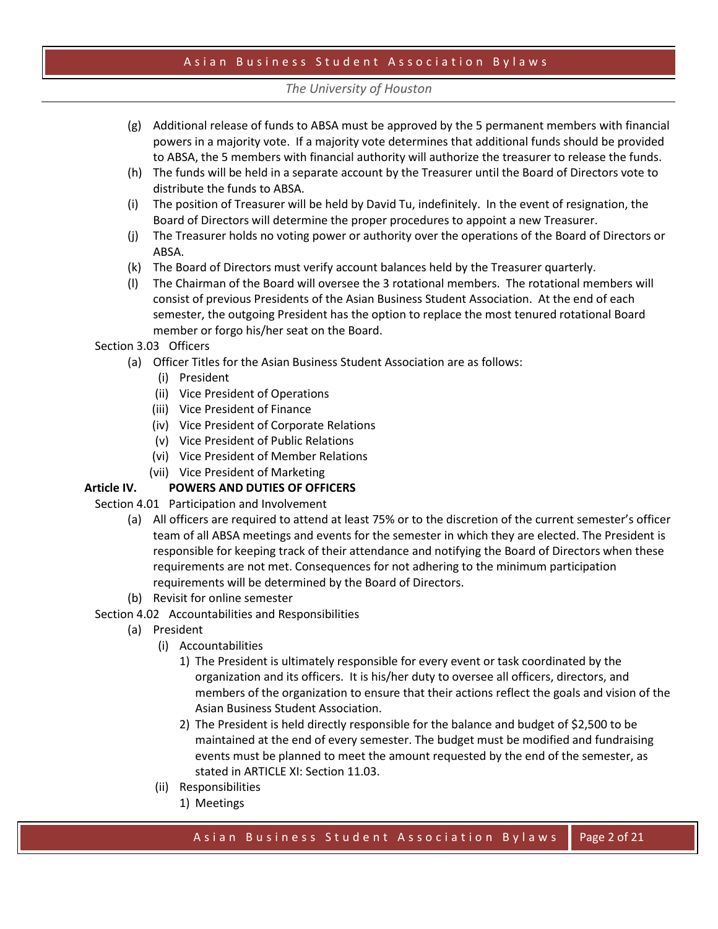### *The University of Houston*

- (g) Additional release of funds to ABSA must be approved by the 5 permanent members with financial powers in a majority vote. If a majority vote determines that additional funds should be provided to ABSA, the 5 members with financial authority will authorize the treasurer to release the funds.
- (h) The funds will be held in a separate account by the Treasurer until the Board of Directors vote to distribute the funds to ABSA.
- (i) The position of Treasurer will be held by David Tu, indefinitely. In the event of resignation, the Board of Directors will determine the proper procedures to appoint a new Treasurer.
- (j) The Treasurer holds no voting power or authority over the operations of the Board of Directors or ABSA.
- (k) The Board of Directors must verify account balances held by the Treasurer quarterly.
- (l) The Chairman of the Board will oversee the 3 rotational members. The rotational members will consist of previous Presidents of the Asian Business Student Association. At the end of each semester, the outgoing President has the option to replace the most tenured rotational Board member or forgo his/her seat on the Board.

Section 3.03 Officers

- (a) Officer Titles for the Asian Business Student Association are as follows:
	- (i) President
	- (ii) Vice President of Operations
	- (iii) Vice President of Finance
	- (iv) Vice President of Corporate Relations
	- (v) Vice President of Public Relations
	- (vi) Vice President of Member Relations
	- (vii) Vice President of Marketing

## **Article IV. POWERS AND DUTIES OF OFFICERS**

- Section 4.01 Participation and Involvement
	- (a) All officers are required to attend at least 75% or to the discretion of the current semester's officer team of all ABSA meetings and events for the semester in which they are elected. The President is responsible for keeping track of their attendance and notifying the Board of Directors when these requirements are not met. Consequences for not adhering to the minimum participation requirements will be determined by the Board of Directors.
	- (b) Revisit for online semester
- Section 4.02 Accountabilities and Responsibilities
	- (a) President
		- (i) Accountabilities
			- 1) The President is ultimately responsible for every event or task coordinated by the organization and its officers. It is his/her duty to oversee all officers, directors, and members of the organization to ensure that their actions reflect the goals and vision of the Asian Business Student Association.
			- 2) The President is held directly responsible for the balance and budget of \$2,500 to be maintained at the end of every semester. The budget must be modified and fundraising events must be planned to meet the amount requested by the end of the semester, as stated in ARTICLE XI: Section 11.03.
		- (ii) Responsibilities
			- 1) Meetings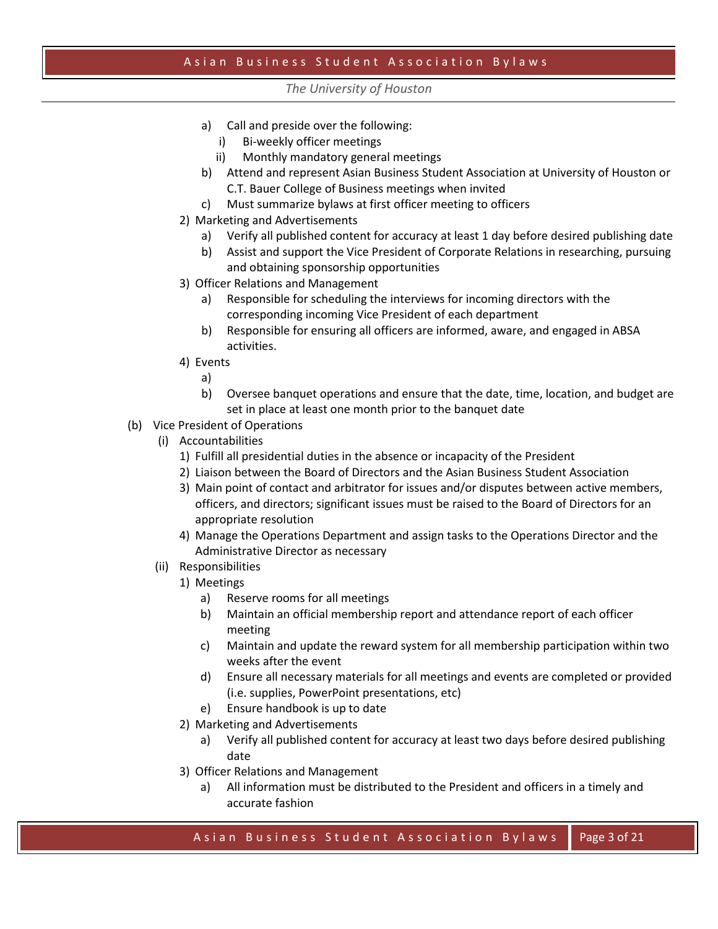- a) Call and preside over the following:
	- i) Bi-weekly officer meetings
	- ii) Monthly mandatory general meetings
- b) Attend and represent Asian Business Student Association at University of Houston or C.T. Bauer College of Business meetings when invited
- c) Must summarize bylaws at first officer meeting to officers
- 2) Marketing and Advertisements
	- a) Verify all published content for accuracy at least 1 day before desired publishing date
	- b) Assist and support the Vice President of Corporate Relations in researching, pursuing and obtaining sponsorship opportunities
- 3) Officer Relations and Management
	- a) Responsible for scheduling the interviews for incoming directors with the corresponding incoming Vice President of each department
	- b) Responsible for ensuring all officers are informed, aware, and engaged in ABSA activities.
- 4) Events
	- a)
	- b) Oversee banquet operations and ensure that the date, time, location, and budget are set in place at least one month prior to the banquet date
- (b) Vice President of Operations
	- (i) Accountabilities
		- 1) Fulfill all presidential duties in the absence or incapacity of the President
		- 2) Liaison between the Board of Directors and the Asian Business Student Association
		- 3) Main point of contact and arbitrator for issues and/or disputes between active members, officers, and directors; significant issues must be raised to the Board of Directors for an appropriate resolution
		- 4) Manage the Operations Department and assign tasks to the Operations Director and the Administrative Director as necessary
	- (ii) Responsibilities
		- 1) Meetings
			- a) Reserve rooms for all meetings
			- b) Maintain an official membership report and attendance report of each officer meeting
			- c) Maintain and update the reward system for all membership participation within two weeks after the event
			- d) Ensure all necessary materials for all meetings and events are completed or provided (i.e. supplies, PowerPoint presentations, etc)
			- e) Ensure handbook is up to date
		- 2) Marketing and Advertisements
			- a) Verify all published content for accuracy at least two days before desired publishing date
		- 3) Officer Relations and Management
			- a) All information must be distributed to the President and officers in a timely and accurate fashion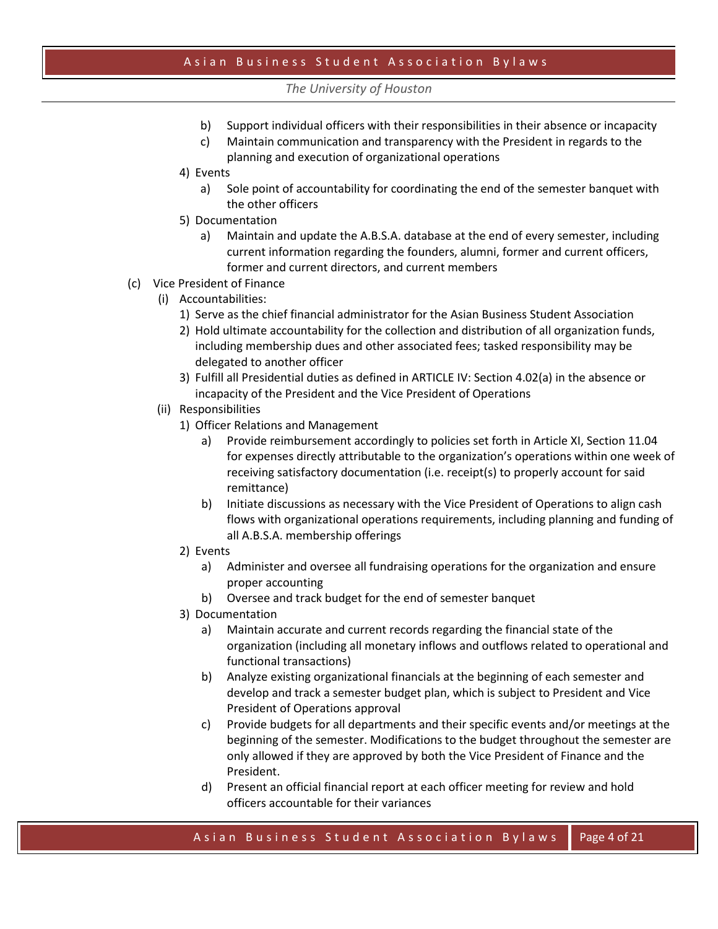- b) Support individual officers with their responsibilities in their absence or incapacity
- c) Maintain communication and transparency with the President in regards to the planning and execution of organizational operations
- 4) Events
	- a) Sole point of accountability for coordinating the end of the semester banquet with the other officers
- 5) Documentation
	- a) Maintain and update the A.B.S.A. database at the end of every semester, including current information regarding the founders, alumni, former and current officers, former and current directors, and current members
- (c) Vice President of Finance
	- (i) Accountabilities:
		- 1) Serve as the chief financial administrator for the Asian Business Student Association
		- 2) Hold ultimate accountability for the collection and distribution of all organization funds, including membership dues and other associated fees; tasked responsibility may be delegated to another officer
		- 3) Fulfill all Presidential duties as defined in ARTICLE IV: Section 4.02(a) in the absence or incapacity of the President and the Vice President of Operations
	- (ii) Responsibilities
		- 1) Officer Relations and Management
			- a) Provide reimbursement accordingly to policies set forth in Article XI, Section 11.04 for expenses directly attributable to the organization's operations within one week of receiving satisfactory documentation (i.e. receipt(s) to properly account for said remittance)
			- b) Initiate discussions as necessary with the Vice President of Operations to align cash flows with organizational operations requirements, including planning and funding of all A.B.S.A. membership offerings
		- 2) Events
			- a) Administer and oversee all fundraising operations for the organization and ensure proper accounting
			- b) Oversee and track budget for the end of semester banquet
		- 3) Documentation
			- a) Maintain accurate and current records regarding the financial state of the organization (including all monetary inflows and outflows related to operational and functional transactions)
			- b) Analyze existing organizational financials at the beginning of each semester and develop and track a semester budget plan, which is subject to President and Vice President of Operations approval
			- c) Provide budgets for all departments and their specific events and/or meetings at the beginning of the semester. Modifications to the budget throughout the semester are only allowed if they are approved by both the Vice President of Finance and the President.
			- d) Present an official financial report at each officer meeting for review and hold officers accountable for their variances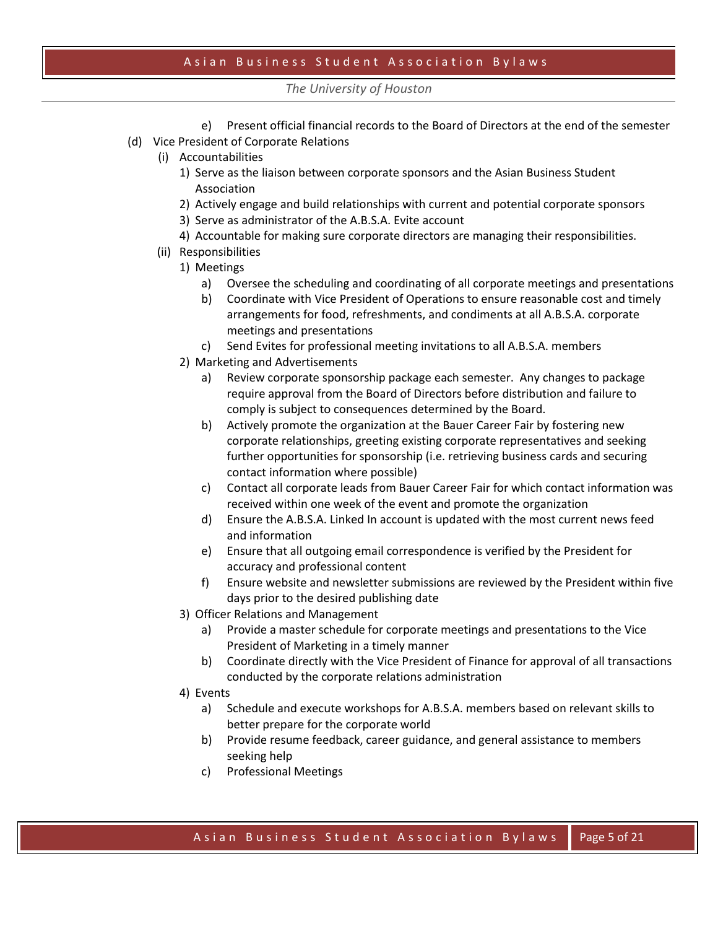- e) Present official financial records to the Board of Directors at the end of the semester (d) Vice President of Corporate Relations
	- (i) Accountabilities
		- 1) Serve as the liaison between corporate sponsors and the Asian Business Student Association
		- 2) Actively engage and build relationships with current and potential corporate sponsors
		- 3) Serve as administrator of the A.B.S.A. Evite account
		- 4) Accountable for making sure corporate directors are managing their responsibilities.
	- (ii) Responsibilities
		- 1) Meetings
			- a) Oversee the scheduling and coordinating of all corporate meetings and presentations
			- b) Coordinate with Vice President of Operations to ensure reasonable cost and timely arrangements for food, refreshments, and condiments at all A.B.S.A. corporate meetings and presentations
			- c) Send Evites for professional meeting invitations to all A.B.S.A. members
		- 2) Marketing and Advertisements
			- a) Review corporate sponsorship package each semester. Any changes to package require approval from the Board of Directors before distribution and failure to comply is subject to consequences determined by the Board.
			- b) Actively promote the organization at the Bauer Career Fair by fostering new corporate relationships, greeting existing corporate representatives and seeking further opportunities for sponsorship (i.e. retrieving business cards and securing contact information where possible)
			- c) Contact all corporate leads from Bauer Career Fair for which contact information was received within one week of the event and promote the organization
			- d) Ensure the A.B.S.A. Linked In account is updated with the most current news feed and information
			- e) Ensure that all outgoing email correspondence is verified by the President for accuracy and professional content
			- f) Ensure website and newsletter submissions are reviewed by the President within five days prior to the desired publishing date
		- 3) Officer Relations and Management
			- a) Provide a master schedule for corporate meetings and presentations to the Vice President of Marketing in a timely manner
			- b) Coordinate directly with the Vice President of Finance for approval of all transactions conducted by the corporate relations administration
		- 4) Events
			- a) Schedule and execute workshops for A.B.S.A. members based on relevant skills to better prepare for the corporate world
			- b) Provide resume feedback, career guidance, and general assistance to members seeking help
			- c) Professional Meetings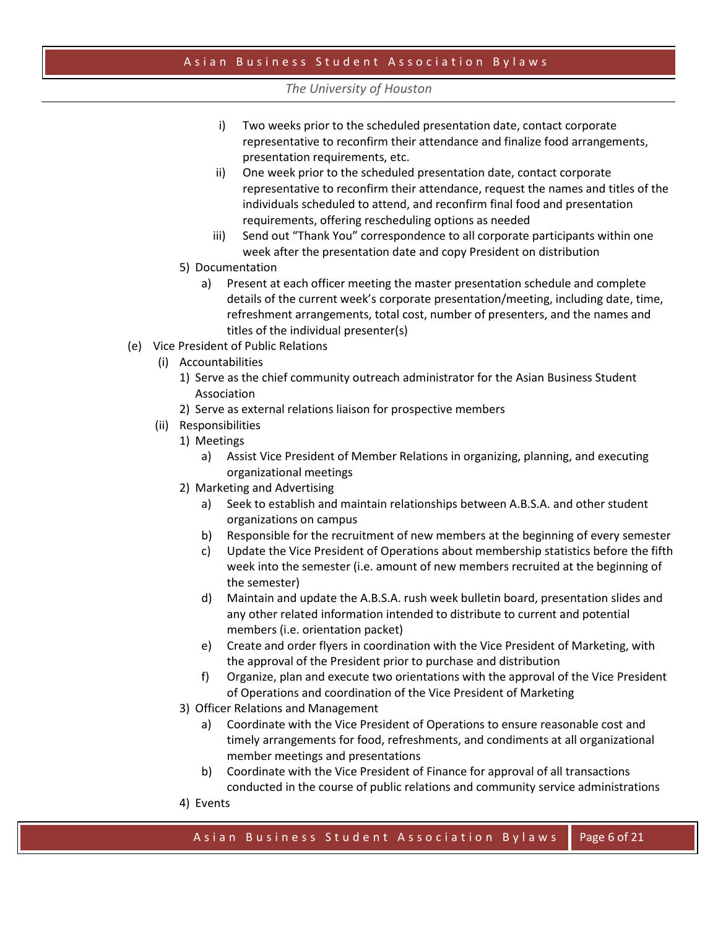- i) Two weeks prior to the scheduled presentation date, contact corporate representative to reconfirm their attendance and finalize food arrangements, presentation requirements, etc.
- ii) One week prior to the scheduled presentation date, contact corporate representative to reconfirm their attendance, request the names and titles of the individuals scheduled to attend, and reconfirm final food and presentation requirements, offering rescheduling options as needed
- iii) Send out "Thank You" correspondence to all corporate participants within one week after the presentation date and copy President on distribution
- 5) Documentation
	- a) Present at each officer meeting the master presentation schedule and complete details of the current week's corporate presentation/meeting, including date, time, refreshment arrangements, total cost, number of presenters, and the names and titles of the individual presenter(s)
- (e) Vice President of Public Relations
	- (i) Accountabilities
		- 1) Serve as the chief community outreach administrator for the Asian Business Student Association
		- 2) Serve as external relations liaison for prospective members
	- (ii) Responsibilities
		- 1) Meetings
			- a) Assist Vice President of Member Relations in organizing, planning, and executing organizational meetings
		- 2) Marketing and Advertising
			- a) Seek to establish and maintain relationships between A.B.S.A. and other student organizations on campus
			- b) Responsible for the recruitment of new members at the beginning of every semester
			- c) Update the Vice President of Operations about membership statistics before the fifth week into the semester (i.e. amount of new members recruited at the beginning of the semester)
			- d) Maintain and update the A.B.S.A. rush week bulletin board, presentation slides and any other related information intended to distribute to current and potential members (i.e. orientation packet)
			- e) Create and order flyers in coordination with the Vice President of Marketing, with the approval of the President prior to purchase and distribution
			- f) Organize, plan and execute two orientations with the approval of the Vice President of Operations and coordination of the Vice President of Marketing
		- 3) Officer Relations and Management
			- a) Coordinate with the Vice President of Operations to ensure reasonable cost and timely arrangements for food, refreshments, and condiments at all organizational member meetings and presentations
			- b) Coordinate with the Vice President of Finance for approval of all transactions conducted in the course of public relations and community service administrations
		- 4) Events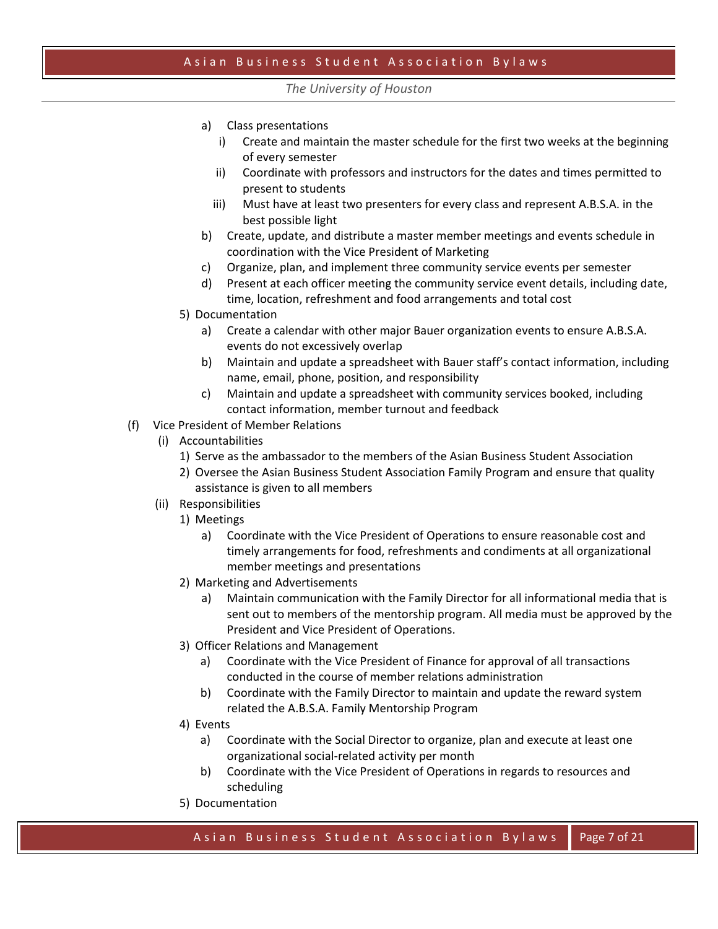- a) Class presentations
	- i) Create and maintain the master schedule for the first two weeks at the beginning of every semester
	- ii) Coordinate with professors and instructors for the dates and times permitted to present to students
	- iii) Must have at least two presenters for every class and represent A.B.S.A. in the best possible light
- b) Create, update, and distribute a master member meetings and events schedule in coordination with the Vice President of Marketing
- c) Organize, plan, and implement three community service events per semester
- d) Present at each officer meeting the community service event details, including date, time, location, refreshment and food arrangements and total cost
- 5) Documentation
	- a) Create a calendar with other major Bauer organization events to ensure A.B.S.A. events do not excessively overlap
	- b) Maintain and update a spreadsheet with Bauer staff's contact information, including name, email, phone, position, and responsibility
	- c) Maintain and update a spreadsheet with community services booked, including contact information, member turnout and feedback
- (f) Vice President of Member Relations
	- (i) Accountabilities
		- 1) Serve as the ambassador to the members of the Asian Business Student Association
		- 2) Oversee the Asian Business Student Association Family Program and ensure that quality assistance is given to all members
		- (ii) Responsibilities
			- 1) Meetings
				- a) Coordinate with the Vice President of Operations to ensure reasonable cost and timely arrangements for food, refreshments and condiments at all organizational member meetings and presentations
			- 2) Marketing and Advertisements
				- a) Maintain communication with the Family Director for all informational media that is sent out to members of the mentorship program. All media must be approved by the President and Vice President of Operations.
			- 3) Officer Relations and Management
				- a) Coordinate with the Vice President of Finance for approval of all transactions conducted in the course of member relations administration
				- b) Coordinate with the Family Director to maintain and update the reward system related the A.B.S.A. Family Mentorship Program
			- 4) Events
				- a) Coordinate with the Social Director to organize, plan and execute at least one organizational social-related activity per month
				- b) Coordinate with the Vice President of Operations in regards to resources and scheduling
			- 5) Documentation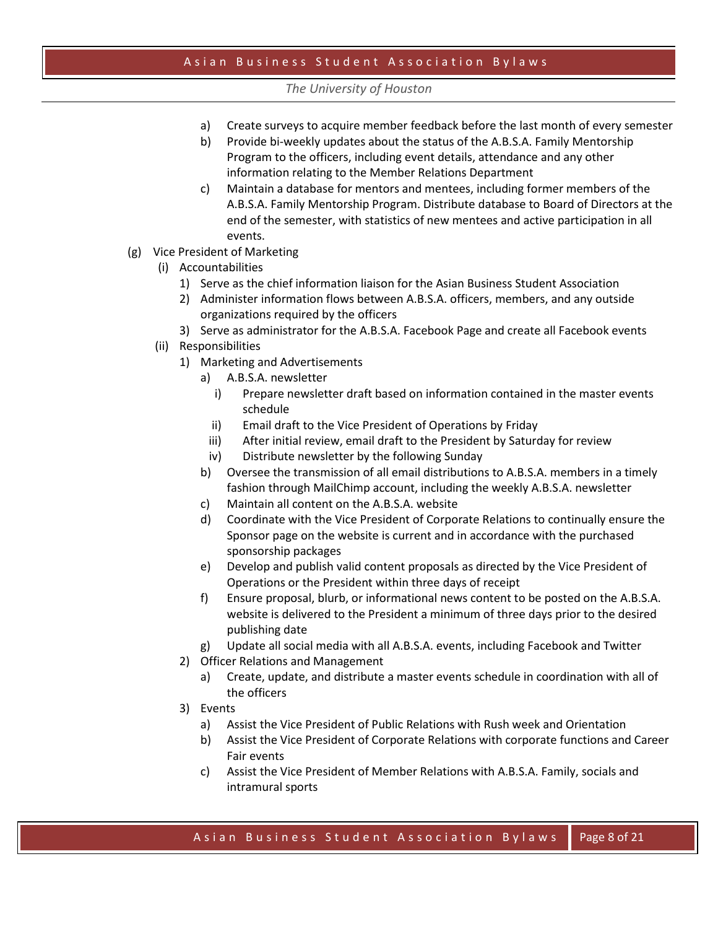- a) Create surveys to acquire member feedback before the last month of every semester
- b) Provide bi-weekly updates about the status of the A.B.S.A. Family Mentorship Program to the officers, including event details, attendance and any other information relating to the Member Relations Department
- c) Maintain a database for mentors and mentees, including former members of the A.B.S.A. Family Mentorship Program. Distribute database to Board of Directors at the end of the semester, with statistics of new mentees and active participation in all events.
- (g) Vice President of Marketing
	- (i) Accountabilities
		- 1) Serve as the chief information liaison for the Asian Business Student Association
		- 2) Administer information flows between A.B.S.A. officers, members, and any outside organizations required by the officers
		- 3) Serve as administrator for the A.B.S.A. Facebook Page and create all Facebook events
	- (ii) Responsibilities
		- 1) Marketing and Advertisements
			- a) A.B.S.A. newsletter
				- i) Prepare newsletter draft based on information contained in the master events schedule
				- ii) Email draft to the Vice President of Operations by Friday
			- iii) After initial review, email draft to the President by Saturday for review
			- iv) Distribute newsletter by the following Sunday
			- b) Oversee the transmission of all email distributions to A.B.S.A. members in a timely fashion through MailChimp account, including the weekly A.B.S.A. newsletter
			- c) Maintain all content on the A.B.S.A. website
			- d) Coordinate with the Vice President of Corporate Relations to continually ensure the Sponsor page on the website is current and in accordance with the purchased sponsorship packages
			- e) Develop and publish valid content proposals as directed by the Vice President of Operations or the President within three days of receipt
			- f) Ensure proposal, blurb, or informational news content to be posted on the A.B.S.A. website is delivered to the President a minimum of three days prior to the desired publishing date
			- g) Update all social media with all A.B.S.A. events, including Facebook and Twitter
		- 2) Officer Relations and Management
			- a) Create, update, and distribute a master events schedule in coordination with all of the officers
		- 3) Events
			- a) Assist the Vice President of Public Relations with Rush week and Orientation
			- b) Assist the Vice President of Corporate Relations with corporate functions and Career Fair events
			- c) Assist the Vice President of Member Relations with A.B.S.A. Family, socials and intramural sports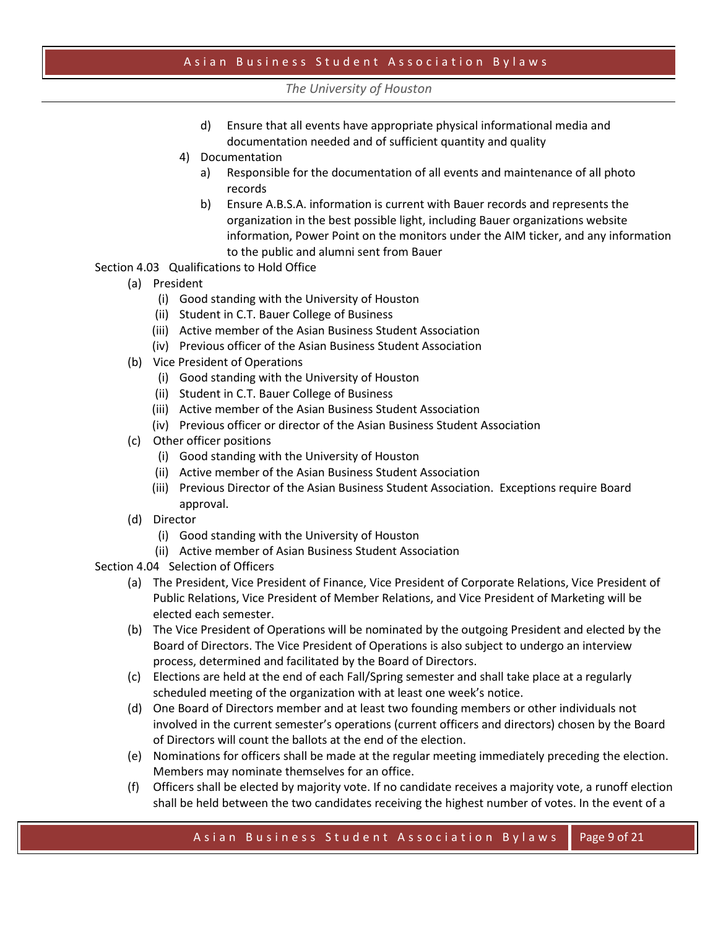- d) Ensure that all events have appropriate physical informational media and documentation needed and of sufficient quantity and quality
- 4) Documentation
	- a) Responsible for the documentation of all events and maintenance of all photo records
	- b) Ensure A.B.S.A. information is current with Bauer records and represents the organization in the best possible light, including Bauer organizations website information, Power Point on the monitors under the AIM ticker, and any information to the public and alumni sent from Bauer
- Section 4.03 Qualifications to Hold Office
	- (a) President
		- (i) Good standing with the University of Houston
		- (ii) Student in C.T. Bauer College of Business
		- (iii) Active member of the Asian Business Student Association
		- (iv) Previous officer of the Asian Business Student Association
	- (b) Vice President of Operations
		- (i) Good standing with the University of Houston
		- (ii) Student in C.T. Bauer College of Business
		- (iii) Active member of the Asian Business Student Association
		- (iv) Previous officer or director of the Asian Business Student Association
	- (c) Other officer positions
		- (i) Good standing with the University of Houston
		- (ii) Active member of the Asian Business Student Association
		- (iii) Previous Director of the Asian Business Student Association. Exceptions require Board approval.
	- (d) Director
		- (i) Good standing with the University of Houston
		- (ii) Active member of Asian Business Student Association
- Section 4.04 Selection of Officers
	- (a) The President, Vice President of Finance, Vice President of Corporate Relations, Vice President of Public Relations, Vice President of Member Relations, and Vice President of Marketing will be elected each semester.
	- (b) The Vice President of Operations will be nominated by the outgoing President and elected by the Board of Directors. The Vice President of Operations is also subject to undergo an interview process, determined and facilitated by the Board of Directors.
	- (c) Elections are held at the end of each Fall/Spring semester and shall take place at a regularly scheduled meeting of the organization with at least one week's notice.
	- (d) One Board of Directors member and at least two founding members or other individuals not involved in the current semester's operations (current officers and directors) chosen by the Board of Directors will count the ballots at the end of the election.
	- (e) Nominations for officers shall be made at the regular meeting immediately preceding the election. Members may nominate themselves for an office.
	- (f) Officers shall be elected by majority vote. If no candidate receives a majority vote, a runoff election shall be held between the two candidates receiving the highest number of votes. In the event of a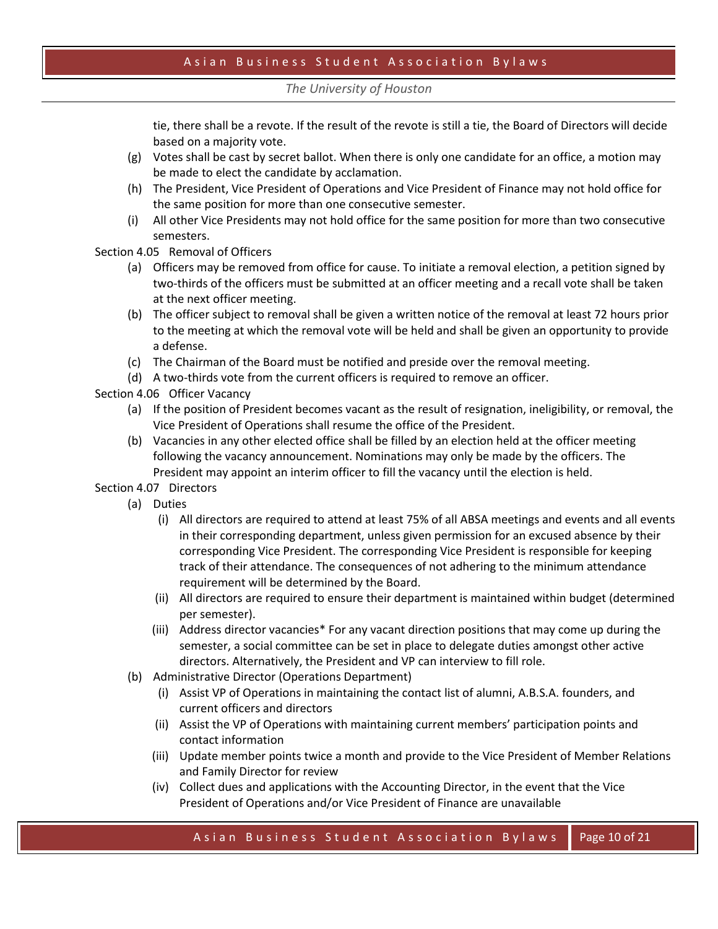### *The University of Houston*

tie, there shall be a revote. If the result of the revote is still a tie, the Board of Directors will decide based on a majority vote.

- (g) Votes shall be cast by secret ballot. When there is only one candidate for an office, a motion may be made to elect the candidate by acclamation.
- (h) The President, Vice President of Operations and Vice President of Finance may not hold office for the same position for more than one consecutive semester.
- (i) All other Vice Presidents may not hold office for the same position for more than two consecutive semesters.
- Section 4.05 Removal of Officers
	- (a) Officers may be removed from office for cause. To initiate a removal election, a petition signed by two-thirds of the officers must be submitted at an officer meeting and a recall vote shall be taken at the next officer meeting.
	- (b) The officer subject to removal shall be given a written notice of the removal at least 72 hours prior to the meeting at which the removal vote will be held and shall be given an opportunity to provide a defense.
	- (c) The Chairman of the Board must be notified and preside over the removal meeting.
	- (d) A two-thirds vote from the current officers is required to remove an officer.
- Section 4.06 Officer Vacancy
	- (a) If the position of President becomes vacant as the result of resignation, ineligibility, or removal, the Vice President of Operations shall resume the office of the President.
	- (b) Vacancies in any other elected office shall be filled by an election held at the officer meeting following the vacancy announcement. Nominations may only be made by the officers. The President may appoint an interim officer to fill the vacancy until the election is held.
- Section 4.07 Directors
	- (a) Duties
		- (i) All directors are required to attend at least 75% of all ABSA meetings and events and all events in their corresponding department, unless given permission for an excused absence by their corresponding Vice President. The corresponding Vice President is responsible for keeping track of their attendance. The consequences of not adhering to the minimum attendance requirement will be determined by the Board.
		- (ii) All directors are required to ensure their department is maintained within budget (determined per semester).
		- (iii) Address director vacancies\* For any vacant direction positions that may come up during the semester, a social committee can be set in place to delegate duties amongst other active directors. Alternatively, the President and VP can interview to fill role.
	- (b) Administrative Director (Operations Department)
		- (i) Assist VP of Operations in maintaining the contact list of alumni, A.B.S.A. founders, and current officers and directors
		- (ii) Assist the VP of Operations with maintaining current members' participation points and contact information
		- (iii) Update member points twice a month and provide to the Vice President of Member Relations and Family Director for review
		- (iv) Collect dues and applications with the Accounting Director, in the event that the Vice President of Operations and/or Vice President of Finance are unavailable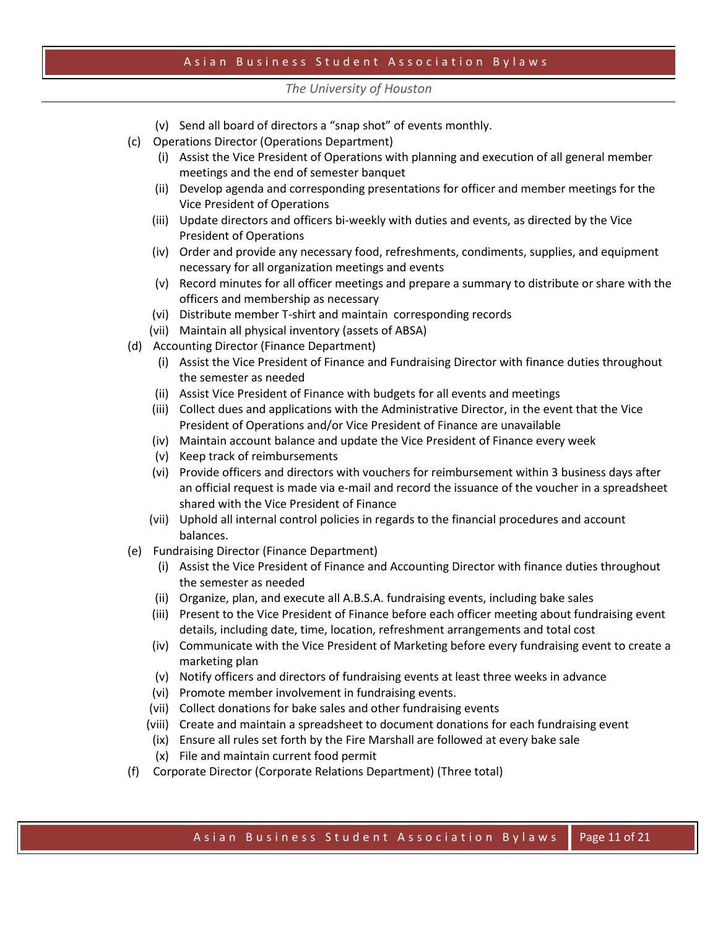- (v) Send all board of directors a "snap shot" of events monthly.
- (c) Operations Director (Operations Department)
	- (i) Assist the Vice President of Operations with planning and execution of all general member meetings and the end of semester banquet
	- (ii) Develop agenda and corresponding presentations for officer and member meetings for the Vice President of Operations
	- (iii) Update directors and officers bi-weekly with duties and events, as directed by the Vice President of Operations
	- (iv) Order and provide any necessary food, refreshments, condiments, supplies, and equipment necessary for all organization meetings and events
	- (v) Record minutes for all officer meetings and prepare a summary to distribute or share with the officers and membership as necessary
	- (vi) Distribute member T-shirt and maintain corresponding records
	- (vii) Maintain all physical inventory (assets of ABSA)
- (d) Accounting Director (Finance Department)
	- (i) Assist the Vice President of Finance and Fundraising Director with finance duties throughout the semester as needed
	- (ii) Assist Vice President of Finance with budgets for all events and meetings
	- (iii) Collect dues and applications with the Administrative Director, in the event that the Vice President of Operations and/or Vice President of Finance are unavailable
	- (iv) Maintain account balance and update the Vice President of Finance every week
	- (v) Keep track of reimbursements
	- (vi) Provide officers and directors with vouchers for reimbursement within 3 business days after an official request is made via e-mail and record the issuance of the voucher in a spreadsheet shared with the Vice President of Finance
	- (vii) Uphold all internal control policies in regards to the financial procedures and account balances.
- (e) Fundraising Director (Finance Department)
	- (i) Assist the Vice President of Finance and Accounting Director with finance duties throughout the semester as needed
	- (ii) Organize, plan, and execute all A.B.S.A. fundraising events, including bake sales
	- (iii) Present to the Vice President of Finance before each officer meeting about fundraising event details, including date, time, location, refreshment arrangements and total cost
	- (iv) Communicate with the Vice President of Marketing before every fundraising event to create a marketing plan
	- (v) Notify officers and directors of fundraising events at least three weeks in advance
	- (vi) Promote member involvement in fundraising events.
	- (vii) Collect donations for bake sales and other fundraising events
	- (viii) Create and maintain a spreadsheet to document donations for each fundraising event
	- (ix) Ensure all rules set forth by the Fire Marshall are followed at every bake sale
	- (x) File and maintain current food permit
- (f) Corporate Director (Corporate Relations Department) (Three total)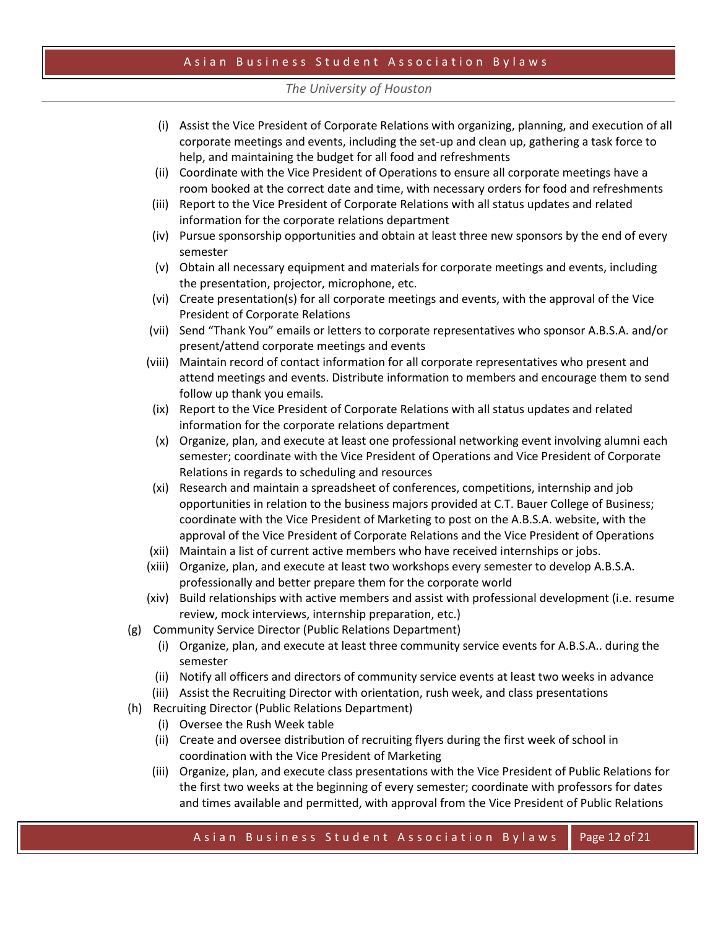- (i) Assist the Vice President of Corporate Relations with organizing, planning, and execution of all corporate meetings and events, including the set-up and clean up, gathering a task force to help, and maintaining the budget for all food and refreshments
- (ii) Coordinate with the Vice President of Operations to ensure all corporate meetings have a room booked at the correct date and time, with necessary orders for food and refreshments
- (iii) Report to the Vice President of Corporate Relations with all status updates and related information for the corporate relations department
- (iv) Pursue sponsorship opportunities and obtain at least three new sponsors by the end of every semester
- (v) Obtain all necessary equipment and materials for corporate meetings and events, including the presentation, projector, microphone, etc.
- (vi) Create presentation(s) for all corporate meetings and events, with the approval of the Vice President of Corporate Relations
- (vii) Send "Thank You" emails or letters to corporate representatives who sponsor A.B.S.A. and/or present/attend corporate meetings and events
- (viii) Maintain record of contact information for all corporate representatives who present and attend meetings and events. Distribute information to members and encourage them to send follow up thank you emails.
- (ix) Report to the Vice President of Corporate Relations with all status updates and related information for the corporate relations department
- (x) Organize, plan, and execute at least one professional networking event involving alumni each semester; coordinate with the Vice President of Operations and Vice President of Corporate Relations in regards to scheduling and resources
- (xi) Research and maintain a spreadsheet of conferences, competitions, internship and job opportunities in relation to the business majors provided at C.T. Bauer College of Business; coordinate with the Vice President of Marketing to post on the A.B.S.A. website, with the approval of the Vice President of Corporate Relations and the Vice President of Operations
- (xii) Maintain a list of current active members who have received internships or jobs.
- (xiii) Organize, plan, and execute at least two workshops every semester to develop A.B.S.A. professionally and better prepare them for the corporate world
- (xiv) Build relationships with active members and assist with professional development (i.e. resume review, mock interviews, internship preparation, etc.)
- (g) Community Service Director (Public Relations Department)
	- (i) Organize, plan, and execute at least three community service events for A.B.S.A.. during the semester
	- (ii) Notify all officers and directors of community service events at least two weeks in advance
	- (iii) Assist the Recruiting Director with orientation, rush week, and class presentations
- (h) Recruiting Director (Public Relations Department)
	- (i) Oversee the Rush Week table
	- (ii) Create and oversee distribution of recruiting flyers during the first week of school in coordination with the Vice President of Marketing
	- (iii) Organize, plan, and execute class presentations with the Vice President of Public Relations for the first two weeks at the beginning of every semester; coordinate with professors for dates and times available and permitted, with approval from the Vice President of Public Relations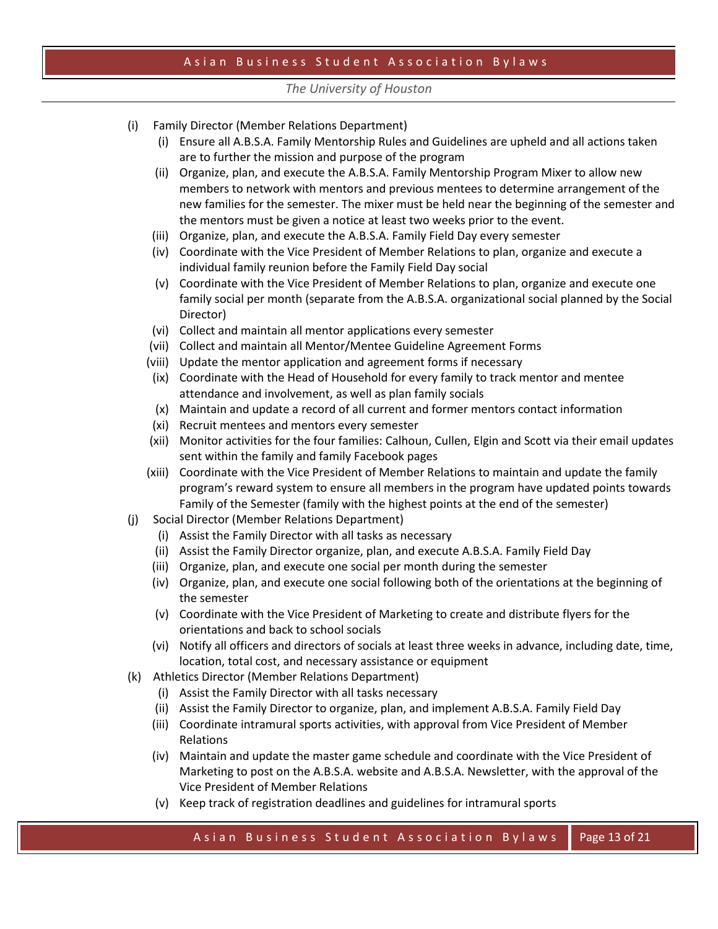- (i) Family Director (Member Relations Department)
	- (i) Ensure all A.B.S.A. Family Mentorship Rules and Guidelines are upheld and all actions taken are to further the mission and purpose of the program
	- (ii) Organize, plan, and execute the A.B.S.A. Family Mentorship Program Mixer to allow new members to network with mentors and previous mentees to determine arrangement of the new families for the semester. The mixer must be held near the beginning of the semester and the mentors must be given a notice at least two weeks prior to the event.
	- (iii) Organize, plan, and execute the A.B.S.A. Family Field Day every semester
	- (iv) Coordinate with the Vice President of Member Relations to plan, organize and execute a individual family reunion before the Family Field Day social
	- (v) Coordinate with the Vice President of Member Relations to plan, organize and execute one family social per month (separate from the A.B.S.A. organizational social planned by the Social Director)
	- (vi) Collect and maintain all mentor applications every semester
	- (vii) Collect and maintain all Mentor/Mentee Guideline Agreement Forms
	- (viii) Update the mentor application and agreement forms if necessary
	- (ix) Coordinate with the Head of Household for every family to track mentor and mentee attendance and involvement, as well as plan family socials
	- (x) Maintain and update a record of all current and former mentors contact information
	- (xi) Recruit mentees and mentors every semester
	- (xii) Monitor activities for the four families: Calhoun, Cullen, Elgin and Scott via their email updates sent within the family and family Facebook pages
	- (xiii) Coordinate with the Vice President of Member Relations to maintain and update the family program's reward system to ensure all members in the program have updated points towards Family of the Semester (family with the highest points at the end of the semester)
- (j) Social Director (Member Relations Department)
	- (i) Assist the Family Director with all tasks as necessary
	- (ii) Assist the Family Director organize, plan, and execute A.B.S.A. Family Field Day
	- (iii) Organize, plan, and execute one social per month during the semester
	- (iv) Organize, plan, and execute one social following both of the orientations at the beginning of the semester
	- (v) Coordinate with the Vice President of Marketing to create and distribute flyers for the orientations and back to school socials
	- (vi) Notify all officers and directors of socials at least three weeks in advance, including date, time, location, total cost, and necessary assistance or equipment
- (k) Athletics Director (Member Relations Department)
	- (i) Assist the Family Director with all tasks necessary
	- (ii) Assist the Family Director to organize, plan, and implement A.B.S.A. Family Field Day
	- (iii) Coordinate intramural sports activities, with approval from Vice President of Member Relations
	- (iv) Maintain and update the master game schedule and coordinate with the Vice President of Marketing to post on the A.B.S.A. website and A.B.S.A. Newsletter, with the approval of the Vice President of Member Relations
	- (v) Keep track of registration deadlines and guidelines for intramural sports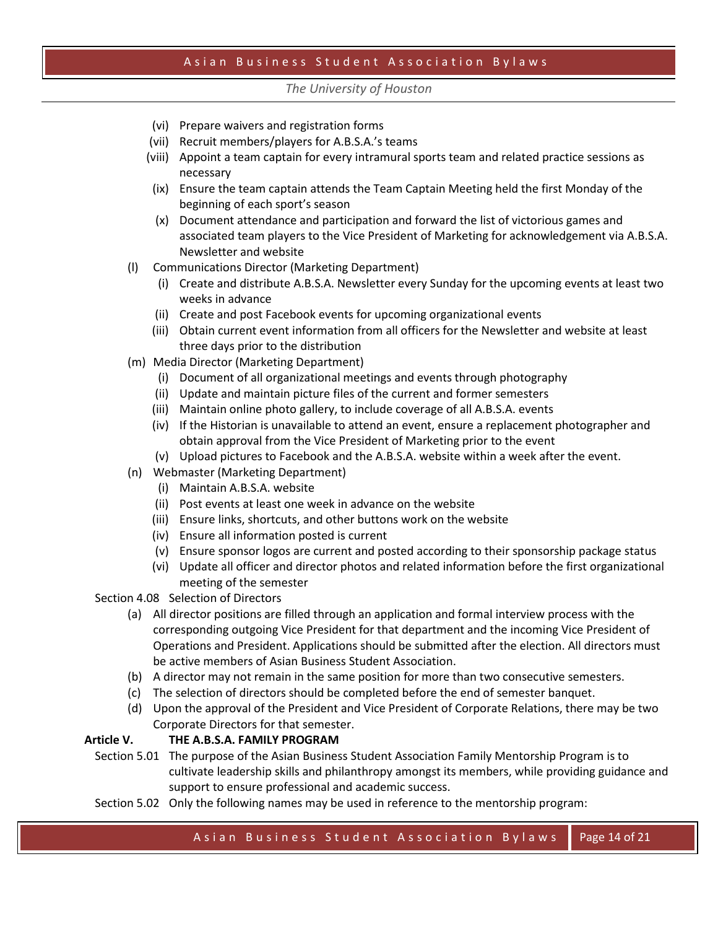### *The University of Houston*

- (vi) Prepare waivers and registration forms
- (vii) Recruit members/players for A.B.S.A.'s teams
- (viii) Appoint a team captain for every intramural sports team and related practice sessions as necessary
- (ix) Ensure the team captain attends the Team Captain Meeting held the first Monday of the beginning of each sport's season
- (x) Document attendance and participation and forward the list of victorious games and associated team players to the Vice President of Marketing for acknowledgement via A.B.S.A. Newsletter and website
- (l) Communications Director (Marketing Department)
	- (i) Create and distribute A.B.S.A. Newsletter every Sunday for the upcoming events at least two weeks in advance
	- (ii) Create and post Facebook events for upcoming organizational events
	- (iii) Obtain current event information from all officers for the Newsletter and website at least three days prior to the distribution
- (m) Media Director (Marketing Department)
	- (i) Document of all organizational meetings and events through photography
	- (ii) Update and maintain picture files of the current and former semesters
	- (iii) Maintain online photo gallery, to include coverage of all A.B.S.A. events
	- (iv) If the Historian is unavailable to attend an event, ensure a replacement photographer and obtain approval from the Vice President of Marketing prior to the event
	- (v) Upload pictures to Facebook and the A.B.S.A. website within a week after the event.
- (n) Webmaster (Marketing Department)
	- (i) Maintain A.B.S.A. website
	- (ii) Post events at least one week in advance on the website
	- (iii) Ensure links, shortcuts, and other buttons work on the website
	- (iv) Ensure all information posted is current
	- (v) Ensure sponsor logos are current and posted according to their sponsorship package status
	- (vi) Update all officer and director photos and related information before the first organizational meeting of the semester

#### Section 4.08 Selection of Directors

- (a) All director positions are filled through an application and formal interview process with the corresponding outgoing Vice President for that department and the incoming Vice President of Operations and President. Applications should be submitted after the election. All directors must be active members of Asian Business Student Association.
- (b) A director may not remain in the same position for more than two consecutive semesters.
- (c) The selection of directors should be completed before the end of semester banquet.
- (d) Upon the approval of the President and Vice President of Corporate Relations, there may be two Corporate Directors for that semester.

### **Article V. THE A.B.S.A. FAMILY PROGRAM**

- Section 5.01 The purpose of the Asian Business Student Association Family Mentorship Program is to cultivate leadership skills and philanthropy amongst its members, while providing guidance and support to ensure professional and academic success.
- Section 5.02 Only the following names may be used in reference to the mentorship program: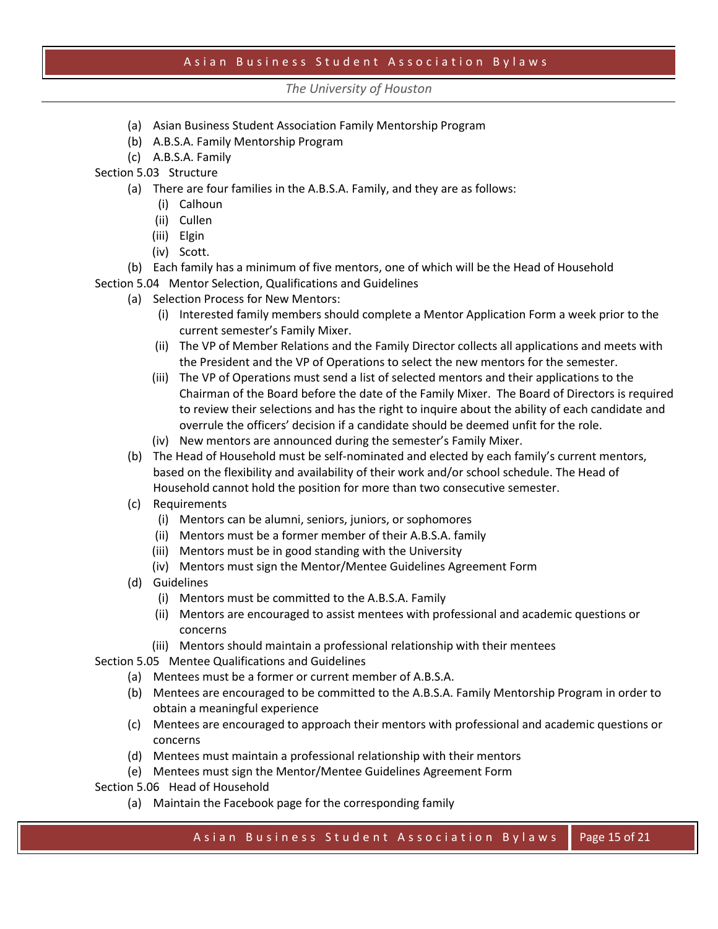*The University of Houston*

- (a) Asian Business Student Association Family Mentorship Program
- (b) A.B.S.A. Family Mentorship Program
- (c) A.B.S.A. Family

Section 5.03 Structure

- (a) There are four families in the A.B.S.A. Family, and they are as follows:
	- (i) Calhoun
	- (ii) Cullen
	- (iii) Elgin
	- (iv) Scott.
- (b) Each family has a minimum of five mentors, one of which will be the Head of Household
- Section 5.04 Mentor Selection, Qualifications and Guidelines
	- (a) Selection Process for New Mentors:
		- (i) Interested family members should complete a Mentor Application Form a week prior to the current semester's Family Mixer.
		- (ii) The VP of Member Relations and the Family Director collects all applications and meets with the President and the VP of Operations to select the new mentors for the semester.
		- (iii) The VP of Operations must send a list of selected mentors and their applications to the Chairman of the Board before the date of the Family Mixer. The Board of Directors is required to review their selections and has the right to inquire about the ability of each candidate and overrule the officers' decision if a candidate should be deemed unfit for the role.
		- (iv) New mentors are announced during the semester's Family Mixer.
	- (b) The Head of Household must be self-nominated and elected by each family's current mentors, based on the flexibility and availability of their work and/or school schedule. The Head of Household cannot hold the position for more than two consecutive semester.
	- (c) Requirements
		- (i) Mentors can be alumni, seniors, juniors, or sophomores
		- (ii) Mentors must be a former member of their A.B.S.A. family
		- (iii) Mentors must be in good standing with the University
		- (iv) Mentors must sign the Mentor/Mentee Guidelines Agreement Form
	- (d) Guidelines
		- (i) Mentors must be committed to the A.B.S.A. Family
		- (ii) Mentors are encouraged to assist mentees with professional and academic questions or concerns
		- (iii) Mentors should maintain a professional relationship with their mentees
- Section 5.05 Mentee Qualifications and Guidelines
	- (a) Mentees must be a former or current member of A.B.S.A.
	- (b) Mentees are encouraged to be committed to the A.B.S.A. Family Mentorship Program in order to obtain a meaningful experience
	- (c) Mentees are encouraged to approach their mentors with professional and academic questions or concerns
	- (d) Mentees must maintain a professional relationship with their mentors
	- (e) Mentees must sign the Mentor/Mentee Guidelines Agreement Form
- Section 5.06 Head of Household
	- (a) Maintain the Facebook page for the corresponding family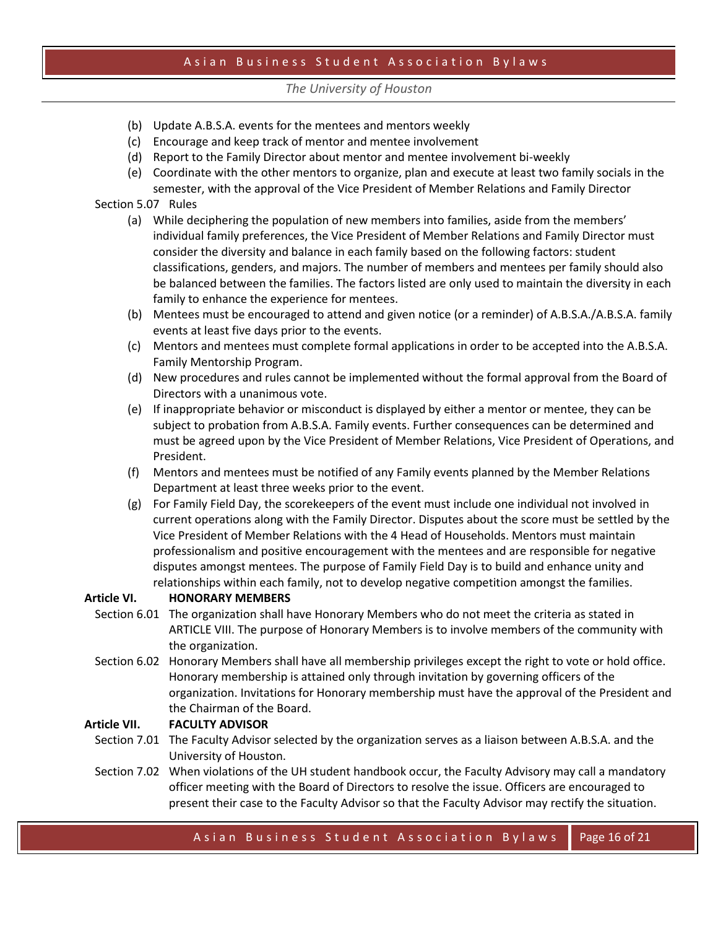### *The University of Houston*

- (b) Update A.B.S.A. events for the mentees and mentors weekly
- (c) Encourage and keep track of mentor and mentee involvement
- (d) Report to the Family Director about mentor and mentee involvement bi-weekly
- (e) Coordinate with the other mentors to organize, plan and execute at least two family socials in the semester, with the approval of the Vice President of Member Relations and Family Director

### Section 5.07 Rules

- (a) While deciphering the population of new members into families, aside from the members' individual family preferences, the Vice President of Member Relations and Family Director must consider the diversity and balance in each family based on the following factors: student classifications, genders, and majors. The number of members and mentees per family should also be balanced between the families. The factors listed are only used to maintain the diversity in each family to enhance the experience for mentees.
- (b) Mentees must be encouraged to attend and given notice (or a reminder) of A.B.S.A./A.B.S.A. family events at least five days prior to the events.
- (c) Mentors and mentees must complete formal applications in order to be accepted into the A.B.S.A. Family Mentorship Program.
- (d) New procedures and rules cannot be implemented without the formal approval from the Board of Directors with a unanimous vote.
- (e) If inappropriate behavior or misconduct is displayed by either a mentor or mentee, they can be subject to probation from A.B.S.A. Family events. Further consequences can be determined and must be agreed upon by the Vice President of Member Relations, Vice President of Operations, and President.
- (f) Mentors and mentees must be notified of any Family events planned by the Member Relations Department at least three weeks prior to the event.
- (g) For Family Field Day, the scorekeepers of the event must include one individual not involved in current operations along with the Family Director. Disputes about the score must be settled by the Vice President of Member Relations with the 4 Head of Households. Mentors must maintain professionalism and positive encouragement with the mentees and are responsible for negative disputes amongst mentees. The purpose of Family Field Day is to build and enhance unity and relationships within each family, not to develop negative competition amongst the families.

#### **Article VI. HONORARY MEMBERS**

- Section 6.01 The organization shall have Honorary Members who do not meet the criteria as stated in ARTICLE VIII. The purpose of Honorary Members is to involve members of the community with the organization.
- Section 6.02 Honorary Members shall have all membership privileges except the right to vote or hold office. Honorary membership is attained only through invitation by governing officers of the organization. Invitations for Honorary membership must have the approval of the President and the Chairman of the Board.

#### **Article VII. FACULTY ADVISOR**

- Section 7.01 The Faculty Advisor selected by the organization serves as a liaison between A.B.S.A. and the University of Houston.
- Section 7.02 When violations of the UH student handbook occur, the Faculty Advisory may call a mandatory officer meeting with the Board of Directors to resolve the issue. Officers are encouraged to present their case to the Faculty Advisor so that the Faculty Advisor may rectify the situation.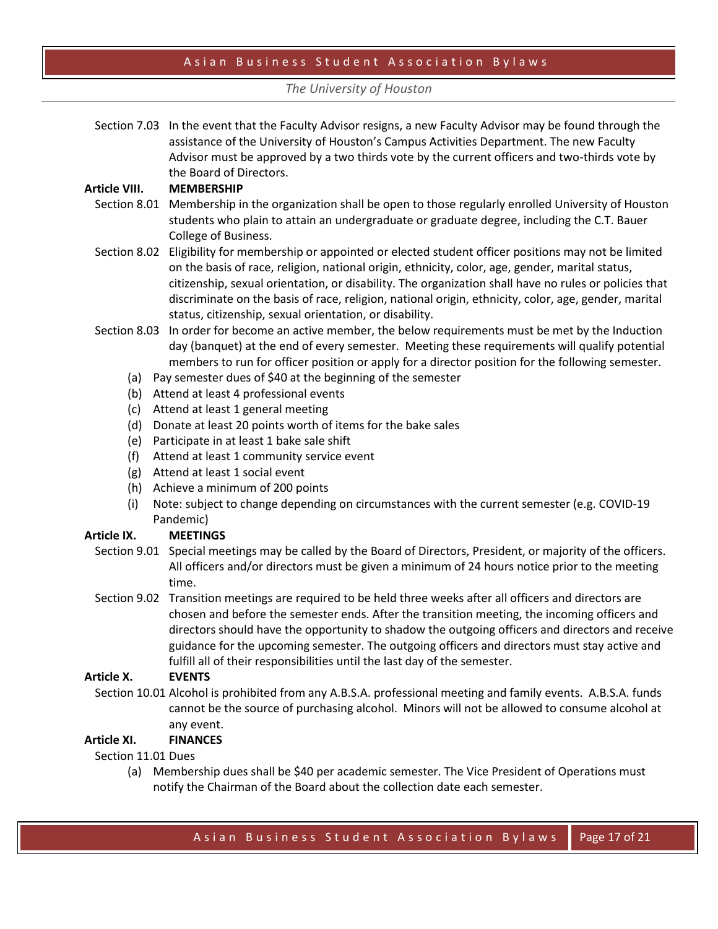### *The University of Houston*

Section 7.03 In the event that the Faculty Advisor resigns, a new Faculty Advisor may be found through the assistance of the University of Houston's Campus Activities Department. The new Faculty Advisor must be approved by a two thirds vote by the current officers and two-thirds vote by the Board of Directors.

### **Article VIII. MEMBERSHIP**

- Section 8.01 Membership in the organization shall be open to those regularly enrolled University of Houston students who plain to attain an undergraduate or graduate degree, including the C.T. Bauer College of Business.
- Section 8.02 Eligibility for membership or appointed or elected student officer positions may not be limited on the basis of race, religion, national origin, ethnicity, color, age, gender, marital status, citizenship, sexual orientation, or disability. The organization shall have no rules or policies that discriminate on the basis of race, religion, national origin, ethnicity, color, age, gender, marital status, citizenship, sexual orientation, or disability.
- Section 8.03 In order for become an active member, the below requirements must be met by the Induction day (banquet) at the end of every semester. Meeting these requirements will qualify potential members to run for officer position or apply for a director position for the following semester.
	- (a) Pay semester dues of \$40 at the beginning of the semester
	- (b) Attend at least 4 professional events
	- (c) Attend at least 1 general meeting
	- (d) Donate at least 20 points worth of items for the bake sales
	- (e) Participate in at least 1 bake sale shift
	- (f) Attend at least 1 community service event
	- (g) Attend at least 1 social event
	- (h) Achieve a minimum of 200 points
	- (i) Note: subject to change depending on circumstances with the current semester (e.g. COVID-19 Pandemic)

#### **Article IX. MEETINGS**

- Section 9.01 Special meetings may be called by the Board of Directors, President, or majority of the officers. All officers and/or directors must be given a minimum of 24 hours notice prior to the meeting time.
- Section 9.02 Transition meetings are required to be held three weeks after all officers and directors are chosen and before the semester ends. After the transition meeting, the incoming officers and directors should have the opportunity to shadow the outgoing officers and directors and receive guidance for the upcoming semester. The outgoing officers and directors must stay active and fulfill all of their responsibilities until the last day of the semester.

### **Article X. EVENTS**

Section 10.01 Alcohol is prohibited from any A.B.S.A. professional meeting and family events. A.B.S.A. funds cannot be the source of purchasing alcohol. Minors will not be allowed to consume alcohol at any event.

#### **Article XI. FINANCES**

#### Section 11.01 Dues

(a) Membership dues shall be \$40 per academic semester. The Vice President of Operations must notify the Chairman of the Board about the collection date each semester.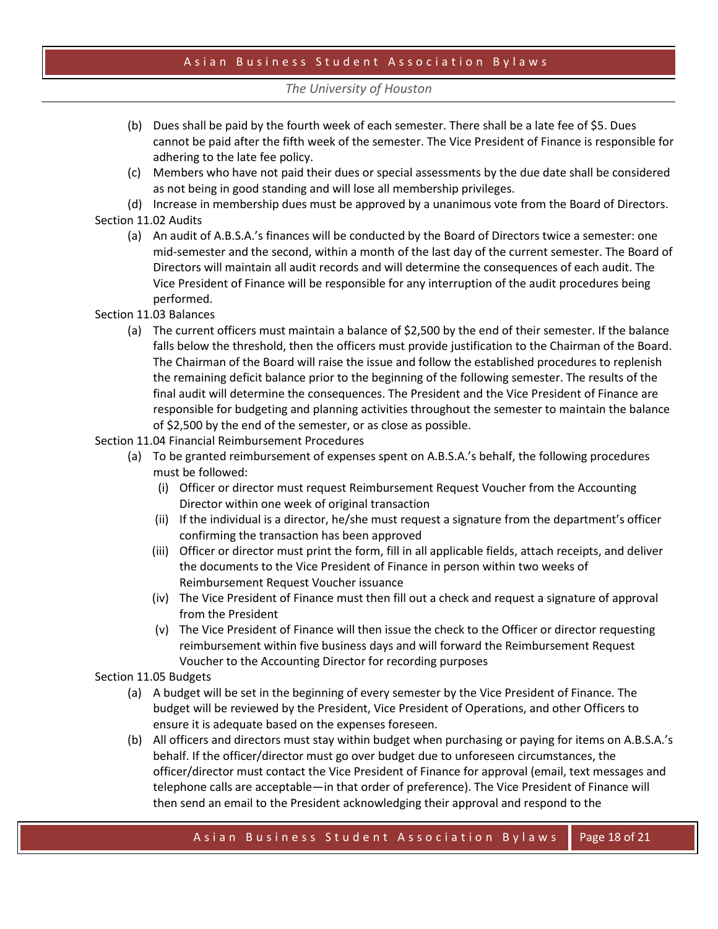*The University of Houston*

- (b) Dues shall be paid by the fourth week of each semester. There shall be a late fee of \$5. Dues cannot be paid after the fifth week of the semester. The Vice President of Finance is responsible for adhering to the late fee policy.
- (c) Members who have not paid their dues or special assessments by the due date shall be considered as not being in good standing and will lose all membership privileges.
- (d) Increase in membership dues must be approved by a unanimous vote from the Board of Directors. Section 11.02 Audits
	- (a) An audit of A.B.S.A.'s finances will be conducted by the Board of Directors twice a semester: one mid-semester and the second, within a month of the last day of the current semester. The Board of Directors will maintain all audit records and will determine the consequences of each audit. The Vice President of Finance will be responsible for any interruption of the audit procedures being performed.
- Section 11.03 Balances
	- (a) The current officers must maintain a balance of \$2,500 by the end of their semester. If the balance falls below the threshold, then the officers must provide justification to the Chairman of the Board. The Chairman of the Board will raise the issue and follow the established procedures to replenish the remaining deficit balance prior to the beginning of the following semester. The results of the final audit will determine the consequences. The President and the Vice President of Finance are responsible for budgeting and planning activities throughout the semester to maintain the balance of \$2,500 by the end of the semester, or as close as possible.
- Section 11.04 Financial Reimbursement Procedures
	- (a) To be granted reimbursement of expenses spent on A.B.S.A.'s behalf, the following procedures must be followed:
		- (i) Officer or director must request Reimbursement Request Voucher from the Accounting Director within one week of original transaction
		- (ii) If the individual is a director, he/she must request a signature from the department's officer confirming the transaction has been approved
		- (iii) Officer or director must print the form, fill in all applicable fields, attach receipts, and deliver the documents to the Vice President of Finance in person within two weeks of Reimbursement Request Voucher issuance
		- (iv) The Vice President of Finance must then fill out a check and request a signature of approval from the President
		- (v) The Vice President of Finance will then issue the check to the Officer or director requesting reimbursement within five business days and will forward the Reimbursement Request Voucher to the Accounting Director for recording purposes

Section 11.05 Budgets

- (a) A budget will be set in the beginning of every semester by the Vice President of Finance. The budget will be reviewed by the President, Vice President of Operations, and other Officers to ensure it is adequate based on the expenses foreseen.
- (b) All officers and directors must stay within budget when purchasing or paying for items on A.B.S.A.'s behalf. If the officer/director must go over budget due to unforeseen circumstances, the officer/director must contact the Vice President of Finance for approval (email, text messages and telephone calls are acceptable—in that order of preference). The Vice President of Finance will then send an email to the President acknowledging their approval and respond to the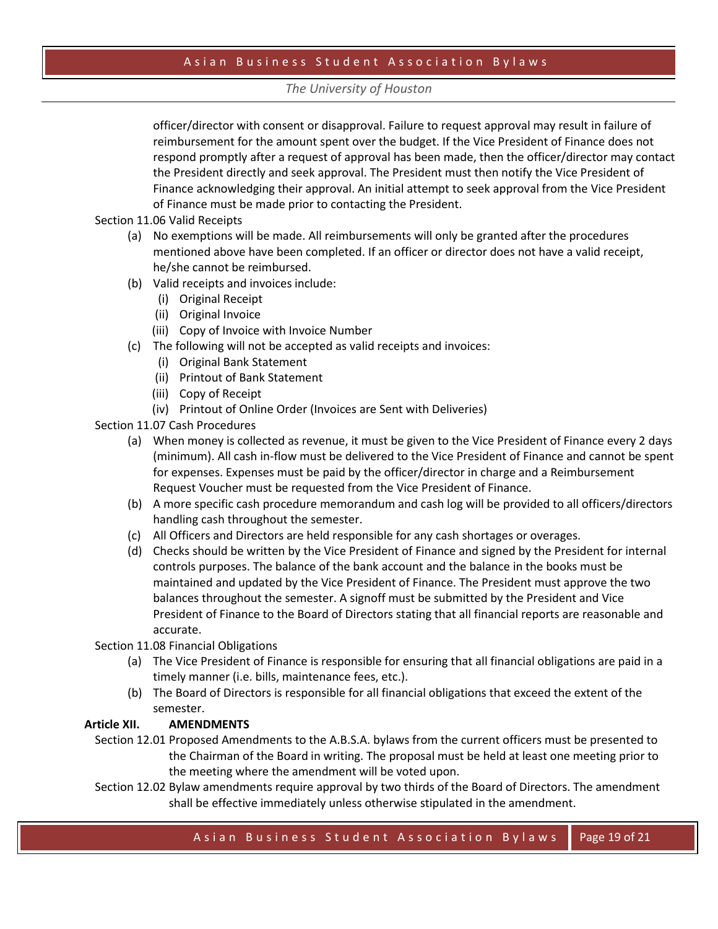## *The University of Houston*

officer/director with consent or disapproval. Failure to request approval may result in failure of reimbursement for the amount spent over the budget. If the Vice President of Finance does not respond promptly after a request of approval has been made, then the officer/director may contact the President directly and seek approval. The President must then notify the Vice President of Finance acknowledging their approval. An initial attempt to seek approval from the Vice President of Finance must be made prior to contacting the President.

### Section 11.06 Valid Receipts

- (a) No exemptions will be made. All reimbursements will only be granted after the procedures mentioned above have been completed. If an officer or director does not have a valid receipt, he/she cannot be reimbursed.
- (b) Valid receipts and invoices include:
	- (i) Original Receipt
	- (ii) Original Invoice
	- (iii) Copy of Invoice with Invoice Number
- (c) The following will not be accepted as valid receipts and invoices:
	- (i) Original Bank Statement
	- (ii) Printout of Bank Statement
	- (iii) Copy of Receipt
	- (iv) Printout of Online Order (Invoices are Sent with Deliveries)

### Section 11.07 Cash Procedures

- (a) When money is collected as revenue, it must be given to the Vice President of Finance every 2 days (minimum). All cash in-flow must be delivered to the Vice President of Finance and cannot be spent for expenses. Expenses must be paid by the officer/director in charge and a Reimbursement Request Voucher must be requested from the Vice President of Finance.
- (b) A more specific cash procedure memorandum and cash log will be provided to all officers/directors handling cash throughout the semester.
- (c) All Officers and Directors are held responsible for any cash shortages or overages.
- (d) Checks should be written by the Vice President of Finance and signed by the President for internal controls purposes. The balance of the bank account and the balance in the books must be maintained and updated by the Vice President of Finance. The President must approve the two balances throughout the semester. A signoff must be submitted by the President and Vice President of Finance to the Board of Directors stating that all financial reports are reasonable and accurate.
- Section 11.08 Financial Obligations
	- (a) The Vice President of Finance is responsible for ensuring that all financial obligations are paid in a timely manner (i.e. bills, maintenance fees, etc.).
	- (b) The Board of Directors is responsible for all financial obligations that exceed the extent of the semester.

### **Article XII. AMENDMENTS**

- Section 12.01 Proposed Amendments to the A.B.S.A. bylaws from the current officers must be presented to the Chairman of the Board in writing. The proposal must be held at least one meeting prior to the meeting where the amendment will be voted upon.
- Section 12.02 Bylaw amendments require approval by two thirds of the Board of Directors. The amendment shall be effective immediately unless otherwise stipulated in the amendment.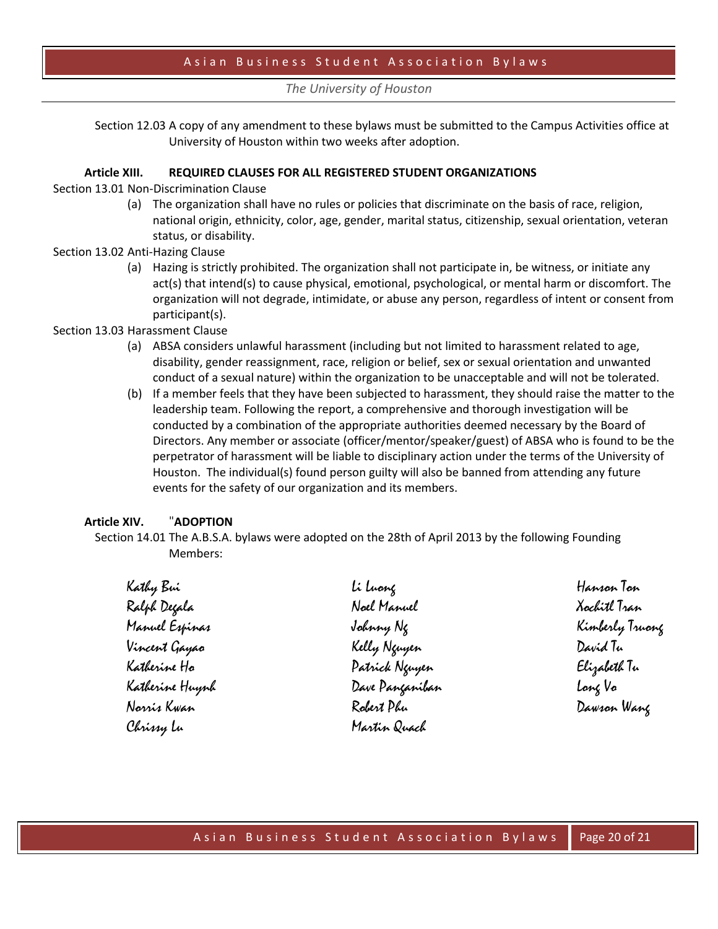*The University of Houston*

Section 12.03 A copy of any amendment to these bylaws must be submitted to the Campus Activities office at University of Houston within two weeks after adoption.

#### **Article XIII. REQUIRED CLAUSES FOR ALL REGISTERED STUDENT ORGANIZATIONS**

Section 13.01 Non-Discrimination Clause

- (a) The organization shall have no rules or policies that discriminate on the basis of race, religion, national origin, ethnicity, color, age, gender, marital status, citizenship, sexual orientation, veteran status, or disability.
- Section 13.02 Anti-Hazing Clause
	- (a) Hazing is strictly prohibited. The organization shall not participate in, be witness, or initiate any act(s) that intend(s) to cause physical, emotional, psychological, or mental harm or discomfort. The organization will not degrade, intimidate, or abuse any person, regardless of intent or consent from participant(s).
- Section 13.03 Harassment Clause
	- (a) ABSA considers unlawful harassment (including but not limited to harassment related to age, disability, gender reassignment, race, religion or belief, sex or sexual orientation and unwanted conduct of a sexual nature) within the organization to be unacceptable and will not be tolerated.
	- (b) If a member feels that they have been subjected to harassment, they should raise the matter to the leadership team. Following the report, a comprehensive and thorough investigation will be conducted by a combination of the appropriate authorities deemed necessary by the Board of Directors. Any member or associate (officer/mentor/speaker/guest) of ABSA who is found to be the perpetrator of harassment will be liable to disciplinary action under the terms of the University of Houston. The individual(s) found person guilty will also be banned from attending any future events for the safety of our organization and its members.

#### **Article XIV.** "**ADOPTION**

Section 14.01 The A.B.S.A. bylaws were adopted on the 28th of April 2013 by the following Founding Members:

| Kathy Bui       | li luong        | Hanson Ton      |
|-----------------|-----------------|-----------------|
| Ralph Degala    | Noel Manuel     | Xochitl Tran    |
| Manuel Espinas  | Johnny Ng       | Kimberly Truang |
| Vincent Gayao   | Kelly Nguyen    | David Tu        |
| Katherine Ho    | Patrick Neugen  | Elizabeth Tu    |
| Katherine Huynh | Dave Panganiban | long Vo         |
| Norris Kwan     | Robert Phu      | Dawson Wang     |
| Chrissy In      | Martin Quach    |                 |